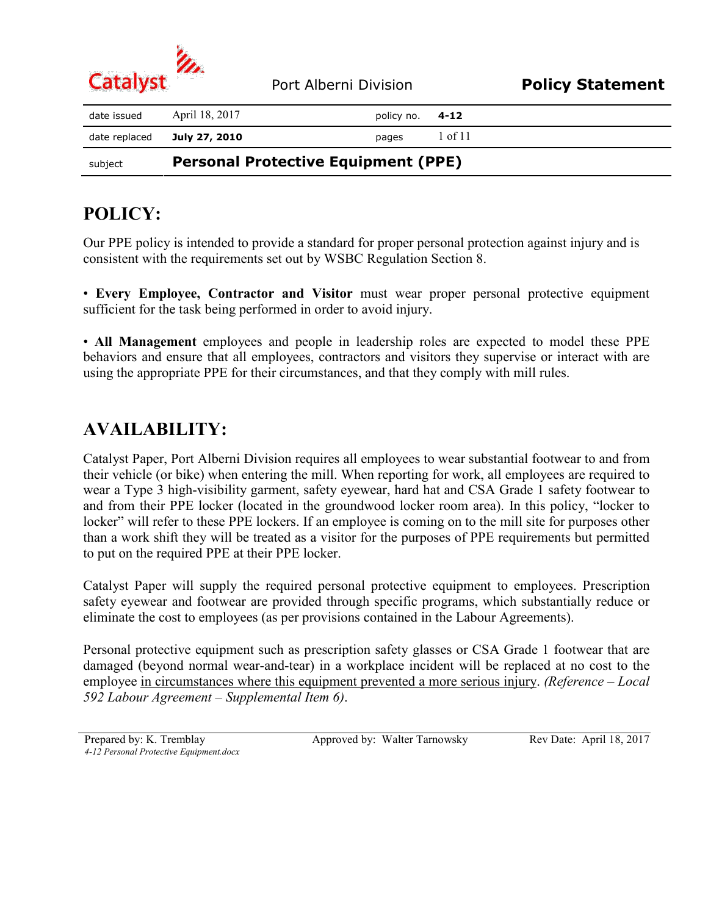

| date issued   | April 18, 2017                             | policy no. | 4-12    |
|---------------|--------------------------------------------|------------|---------|
| date replaced | July 27, 2010                              | pages      | 1 of 11 |
| subject       | <b>Personal Protective Equipment (PPE)</b> |            |         |

# **POLICY:**

Our PPE policy is intended to provide a standard for proper personal protection against injury and is consistent with the requirements set out by WSBC Regulation Section 8.

• **Every Employee, Contractor and Visitor** must wear proper personal protective equipment sufficient for the task being performed in order to avoid injury.

• **All Management** employees and people in leadership roles are expected to model these PPE behaviors and ensure that all employees, contractors and visitors they supervise or interact with are using the appropriate PPE for their circumstances, and that they comply with mill rules.

## **AVAILABILITY:**

Catalyst Paper, Port Alberni Division requires all employees to wear substantial footwear to and from their vehicle (or bike) when entering the mill. When reporting for work, all employees are required to wear a Type 3 high-visibility garment, safety eyewear, hard hat and CSA Grade 1 safety footwear to and from their PPE locker (located in the groundwood locker room area). In this policy, "locker to locker" will refer to these PPE lockers. If an employee is coming on to the mill site for purposes other than a work shift they will be treated as a visitor for the purposes of PPE requirements but permitted to put on the required PPE at their PPE locker.

Catalyst Paper will supply the required personal protective equipment to employees. Prescription safety eyewear and footwear are provided through specific programs, which substantially reduce or eliminate the cost to employees (as per provisions contained in the Labour Agreements).

Personal protective equipment such as prescription safety glasses or CSA Grade 1 footwear that are damaged (beyond normal wear-and-tear) in a workplace incident will be replaced at no cost to the employee in circumstances where this equipment prevented a more serious injury. *(Reference – Local 592 Labour Agreement – Supplemental Item 6)*.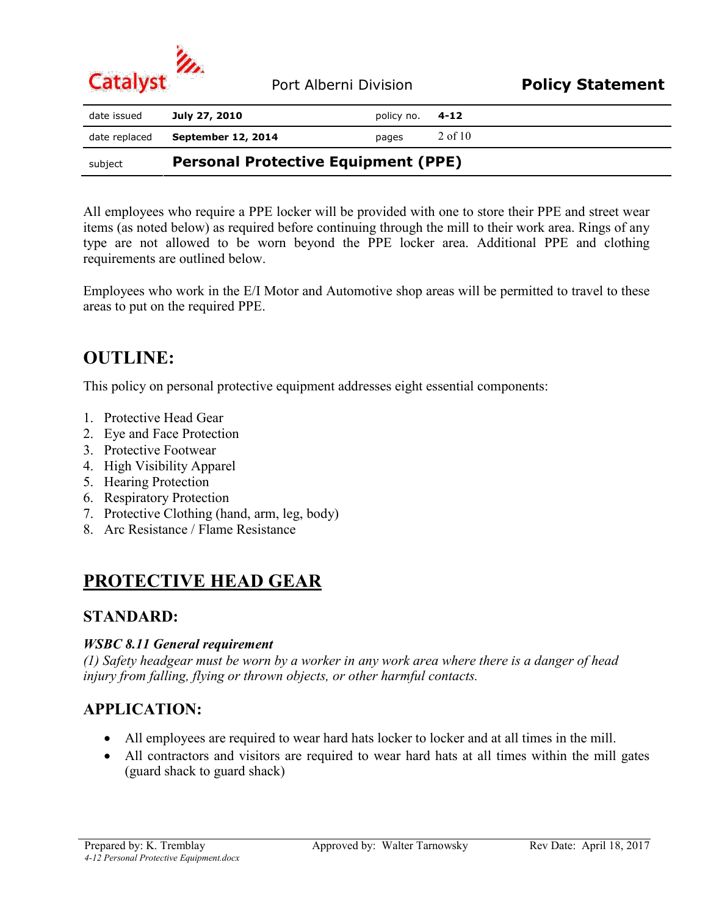

| date issued   | July 27, 2010                              | policy no. | -4-12   |
|---------------|--------------------------------------------|------------|---------|
| date replaced | <b>September 12, 2014</b>                  | pages      | 2 of 10 |
| subject       | <b>Personal Protective Equipment (PPE)</b> |            |         |

All employees who require a PPE locker will be provided with one to store their PPE and street wear items (as noted below) as required before continuing through the mill to their work area. Rings of any type are not allowed to be worn beyond the PPE locker area. Additional PPE and clothing requirements are outlined below.

Employees who work in the E/I Motor and Automotive shop areas will be permitted to travel to these areas to put on the required PPE.

## **OUTLINE:**

This policy on personal protective equipment addresses eight essential components:

- 1. Protective Head Gear
- 2. Eye and Face Protection
- 3. Protective Footwear
- 4. High Visibility Apparel
- 5. Hearing Protection
- 6. Respiratory Protection
- 7. Protective Clothing (hand, arm, leg, body)
- 8. Arc Resistance / Flame Resistance

# **PROTECTIVE HEAD GEAR**

### **STANDARD:**

### *WSBC 8.11 General requirement*

*(1) Safety headgear must be worn by a worker in any work area where there is a danger of head injury from falling, flying or thrown objects, or other harmful contacts.*

## **APPLICATION:**

- All employees are required to wear hard hats locker to locker and at all times in the mill.
- All contractors and visitors are required to wear hard hats at all times within the mill gates (guard shack to guard shack)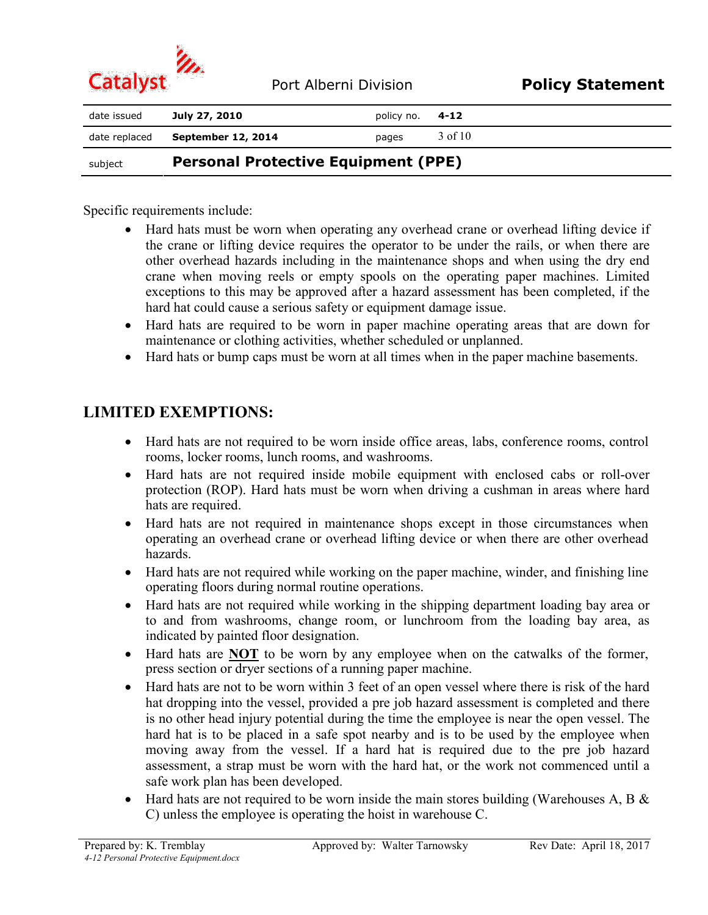

| date issued   | July 27, 2010                              | policy no. | 4-12    |
|---------------|--------------------------------------------|------------|---------|
| date replaced | <b>September 12, 2014</b>                  | pages      | 3 of 10 |
| subject       | <b>Personal Protective Equipment (PPE)</b> |            |         |

Specific requirements include:

- Hard hats must be worn when operating any overhead crane or overhead lifting device if the crane or lifting device requires the operator to be under the rails, or when there are other overhead hazards including in the maintenance shops and when using the dry end crane when moving reels or empty spools on the operating paper machines. Limited exceptions to this may be approved after a hazard assessment has been completed, if the hard hat could cause a serious safety or equipment damage issue.
- Hard hats are required to be worn in paper machine operating areas that are down for maintenance or clothing activities, whether scheduled or unplanned.
- Hard hats or bump caps must be worn at all times when in the paper machine basements.

## **LIMITED EXEMPTIONS:**

- Hard hats are not required to be worn inside office areas, labs, conference rooms, control rooms, locker rooms, lunch rooms, and washrooms.
- Hard hats are not required inside mobile equipment with enclosed cabs or roll-over protection (ROP). Hard hats must be worn when driving a cushman in areas where hard hats are required.
- Hard hats are not required in maintenance shops except in those circumstances when operating an overhead crane or overhead lifting device or when there are other overhead hazards.
- Hard hats are not required while working on the paper machine, winder, and finishing line operating floors during normal routine operations.
- Hard hats are not required while working in the shipping department loading bay area or to and from washrooms, change room, or lunchroom from the loading bay area, as indicated by painted floor designation.
- Hard hats are **NOT** to be worn by any employee when on the catwalks of the former, press section or dryer sections of a running paper machine.
- Hard hats are not to be worn within 3 feet of an open vessel where there is risk of the hard hat dropping into the vessel, provided a pre job hazard assessment is completed and there is no other head injury potential during the time the employee is near the open vessel. The hard hat is to be placed in a safe spot nearby and is to be used by the employee when moving away from the vessel. If a hard hat is required due to the pre job hazard assessment, a strap must be worn with the hard hat, or the work not commenced until a safe work plan has been developed.
- Hard hats are not required to be worn inside the main stores building (Warehouses A, B  $\&$ C) unless the employee is operating the hoist in warehouse C.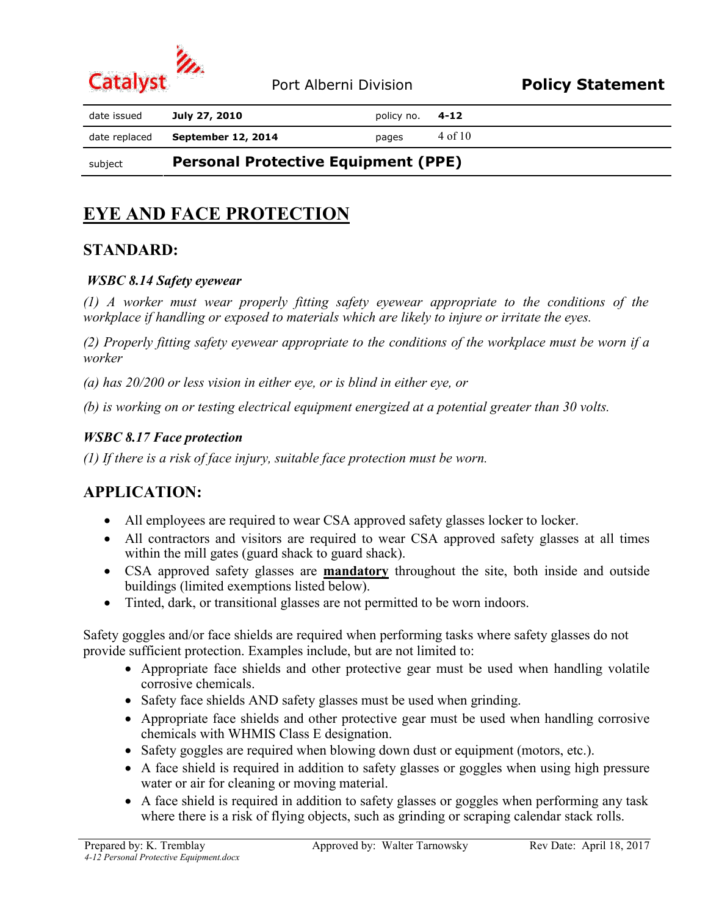

| date issued   | July 27, 2010                              | policy no. | 4-12    |
|---------------|--------------------------------------------|------------|---------|
| date replaced | <b>September 12, 2014</b>                  | pages      | 4 of 10 |
| subject       | <b>Personal Protective Equipment (PPE)</b> |            |         |

## **EYE AND FACE PROTECTION**

### **STANDARD:**

#### *WSBC 8.14 Safety eyewear*

*(1) A worker must wear properly fitting safety eyewear appropriate to the conditions of the workplace if handling or exposed to materials which are likely to injure or irritate the eyes.*

*(2) Properly fitting safety eyewear appropriate to the conditions of the workplace must be worn if a worker*

*(a) has 20/200 or less vision in either eye, or is blind in either eye, or*

*(b) is working on or testing electrical equipment energized at a potential greater than 30 volts.*

#### *WSBC 8.17 Face protection*

*(1) If there is a risk of face injury, suitable face protection must be worn.*

## **APPLICATION:**

- All employees are required to wear CSA approved safety glasses locker to locker.
- All contractors and visitors are required to wear CSA approved safety glasses at all times within the mill gates (guard shack to guard shack).
- CSA approved safety glasses are **mandatory** throughout the site, both inside and outside buildings (limited exemptions listed below).
- Tinted, dark, or transitional glasses are not permitted to be worn indoors.

Safety goggles and/or face shields are required when performing tasks where safety glasses do not provide sufficient protection. Examples include, but are not limited to:

- Appropriate face shields and other protective gear must be used when handling volatile corrosive chemicals.
- Safety face shields AND safety glasses must be used when grinding.
- Appropriate face shields and other protective gear must be used when handling corrosive chemicals with WHMIS Class E designation.
- Safety goggles are required when blowing down dust or equipment (motors, etc.).
- A face shield is required in addition to safety glasses or goggles when using high pressure water or air for cleaning or moving material.
- A face shield is required in addition to safety glasses or goggles when performing any task where there is a risk of flying objects, such as grinding or scraping calendar stack rolls.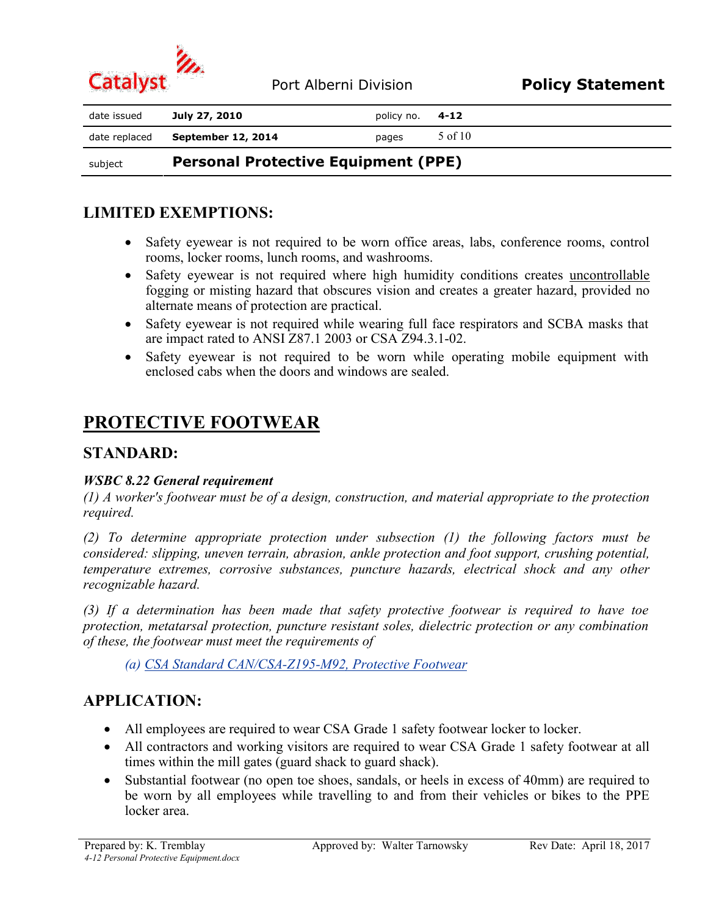

| date issued   | July 27, 2010                              | policy no. | 4-12    |
|---------------|--------------------------------------------|------------|---------|
| date replaced | <b>September 12, 2014</b>                  | pages      | 5 of 10 |
| subject       | <b>Personal Protective Equipment (PPE)</b> |            |         |

### **LIMITED EXEMPTIONS:**

- Safety eyewear is not required to be worn office areas, labs, conference rooms, control rooms, locker rooms, lunch rooms, and washrooms.
- Safety eyewear is not required where high humidity conditions creates uncontrollable fogging or misting hazard that obscures vision and creates a greater hazard, provided no alternate means of protection are practical.
- Safety eyewear is not required while wearing full face respirators and SCBA masks that are impact rated to ANSI Z87.1 2003 or CSA Z94.3.1-02.
- Safety eyewear is not required to be worn while operating mobile equipment with enclosed cabs when the doors and windows are sealed.

## **PROTECTIVE FOOTWEAR**

### **STANDARD:**

#### *WSBC 8.22 General requirement*

*(1) A worker's footwear must be of a design, construction, and material appropriate to the protection required.*

*(2) To determine appropriate protection under subsection (1) the following factors must be considered: slipping, uneven terrain, abrasion, ankle protection and foot support, crushing potential, temperature extremes, corrosive substances, puncture hazards, electrical shock and any other recognizable hazard.*

*(3) If a determination has been made that safety protective footwear is required to have toe protection, metatarsal protection, puncture resistant soles, dielectric protection or any combination of these, the footwear must meet the requirements of*

*(a) [CSA Standard CAN/CSA-Z195-M92, Protective Footwear](http://ohsviewaccess.csa.ca/)*

## **APPLICATION:**

- All employees are required to wear CSA Grade 1 safety footwear locker to locker.
- All contractors and working visitors are required to wear CSA Grade 1 safety footwear at all times within the mill gates (guard shack to guard shack).
- Substantial footwear (no open toe shoes, sandals, or heels in excess of 40mm) are required to be worn by all employees while travelling to and from their vehicles or bikes to the PPE locker area.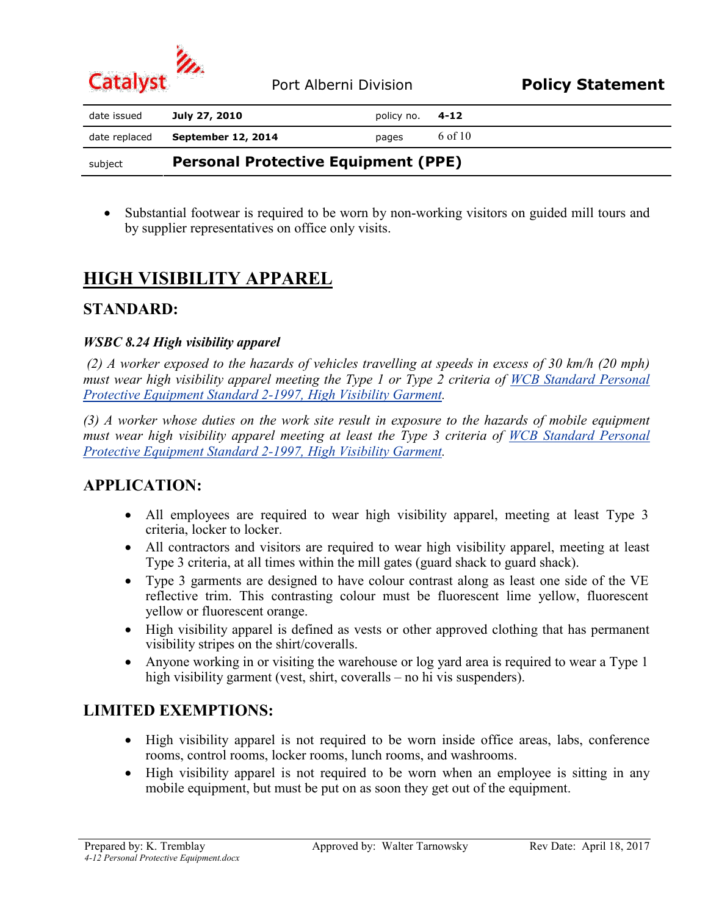

Port Alberni Division **Policy Statement** 

| date issued   | July 27, 2010                              | policy no. | 4-12    |
|---------------|--------------------------------------------|------------|---------|
| date replaced | <b>September 12, 2014</b>                  | pages      | 6 of 10 |
| subject       | <b>Personal Protective Equipment (PPE)</b> |            |         |

• Substantial footwear is required to be worn by non-working visitors on guided mill tours and by supplier representatives on office only visits.

# **HIGH VISIBILITY APPAREL**

## **STANDARD:**

### *WSBC 8.24 High visibility apparel*

*(2) A worker exposed to the hazards of vehicles travelling at speeds in excess of 30 km/h (20 mph) must wear high visibility apparel meeting the Type 1 or Type 2 criteria of [WCB Standard Personal](http://www2.worksafebc.com/Publications/OHSRegulation/WCBStandards.asp?ReportID=30947) [Protective Equipment Standard 2-1997, High Visibility Garment.](http://www2.worksafebc.com/Publications/OHSRegulation/WCBStandards.asp?ReportID=30947)*

*(3) A worker whose duties on the work site result in exposure to the hazards of mobile equipment must wear high visibility apparel meeting at least the Type 3 criteria of [WCB Standard Personal](http://www2.worksafebc.com/Publications/OHSRegulation/WCBStandards.asp?ReportID=30947) [Protective Equipment Standard 2-1997, High Visibility Garment.](http://www2.worksafebc.com/Publications/OHSRegulation/WCBStandards.asp?ReportID=30947)*

### **APPLICATION:**

- All employees are required to wear high visibility apparel, meeting at least Type 3 criteria, locker to locker.
- All contractors and visitors are required to wear high visibility apparel, meeting at least Type 3 criteria, at all times within the mill gates (guard shack to guard shack).
- Type 3 garments are designed to have colour contrast along as least one side of the VE reflective trim. This contrasting colour must be fluorescent lime yellow, fluorescent yellow or fluorescent orange.
- High visibility apparel is defined as vests or other approved clothing that has permanent visibility stripes on the shirt/coveralls.
- Anyone working in or visiting the warehouse or log yard area is required to wear a Type 1 high visibility garment (vest, shirt, coveralls – no hi vis suspenders).

### **LIMITED EXEMPTIONS:**

- High visibility apparel is not required to be worn inside office areas, labs, conference rooms, control rooms, locker rooms, lunch rooms, and washrooms.
- High visibility apparel is not required to be worn when an employee is sitting in any mobile equipment, but must be put on as soon they get out of the equipment.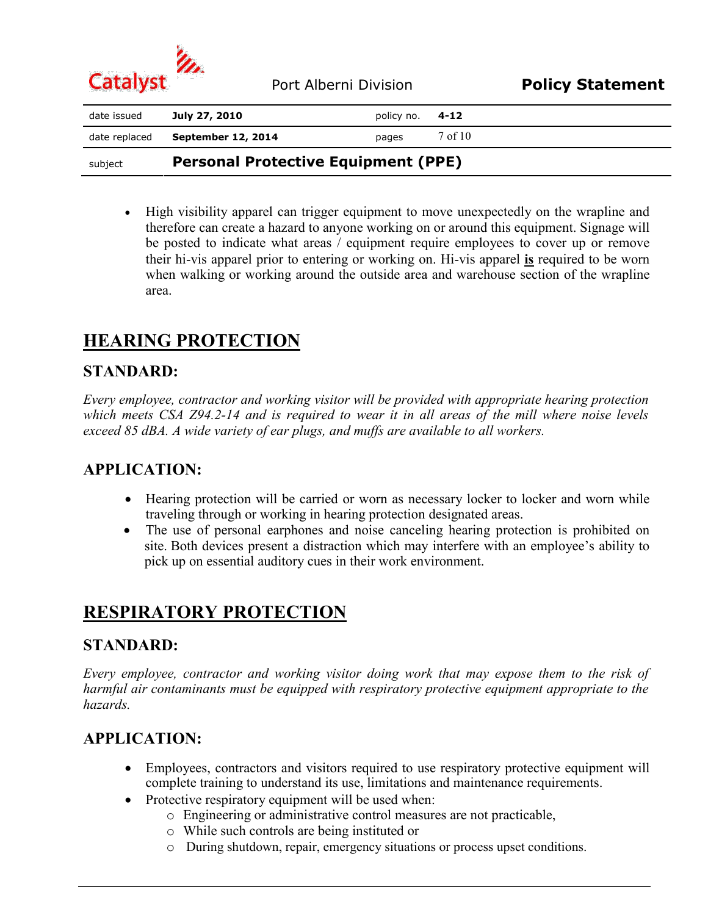

| date issued   | July 27, 2010                              | policy no. $4-12$ |         |
|---------------|--------------------------------------------|-------------------|---------|
| date replaced | <b>September 12, 2014</b>                  | pages             | 7 of 10 |
| subject       | <b>Personal Protective Equipment (PPE)</b> |                   |         |

• High visibility apparel can trigger equipment to move unexpectedly on the wrapline and therefore can create a hazard to anyone working on or around this equipment. Signage will be posted to indicate what areas / equipment require employees to cover up or remove their hi-vis apparel prior to entering or working on. Hi-vis apparel **is** required to be worn when walking or working around the outside area and warehouse section of the wrapline area.

# **HEARING PROTECTION**

### **STANDARD:**

*Every employee, contractor and working visitor will be provided with appropriate hearing protection which meets CSA Z94.2-14 and is required to wear it in all areas of the mill where noise levels exceed 85 dBA. A wide variety of ear plugs, and muffs are available to all workers.*

## **APPLICATION:**

- Hearing protection will be carried or worn as necessary locker to locker and worn while traveling through or working in hearing protection designated areas.
- The use of personal earphones and noise canceling hearing protection is prohibited on site. Both devices present a distraction which may interfere with an employee's ability to pick up on essential auditory cues in their work environment.

## **RESPIRATORY PROTECTION**

### **STANDARD:**

*Every employee, contractor and working visitor doing work that may expose them to the risk of harmful air contaminants must be equipped with respiratory protective equipment appropriate to the hazards.*

### **APPLICATION:**

- Employees, contractors and visitors required to use respiratory protective equipment will complete training to understand its use, limitations and maintenance requirements.
- Protective respiratory equipment will be used when:
	- o Engineering or administrative control measures are not practicable,
	- o While such controls are being instituted or
	- o During shutdown, repair, emergency situations or process upset conditions.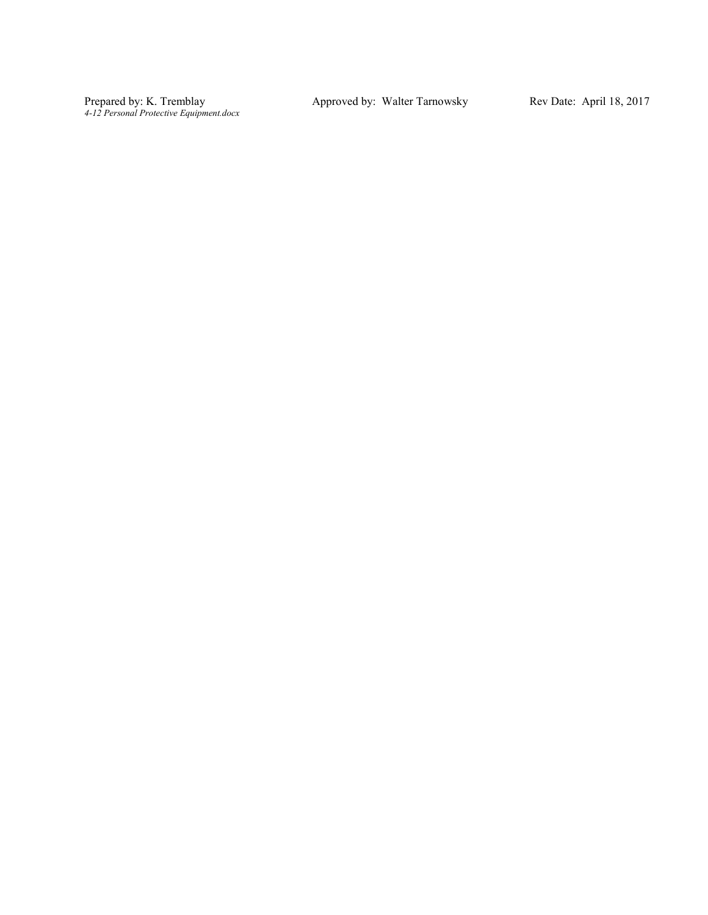*4-12 Personal Protective Equipment.docx*

Approved by: Walter Tarnowsky Rev Date: April 18, 2017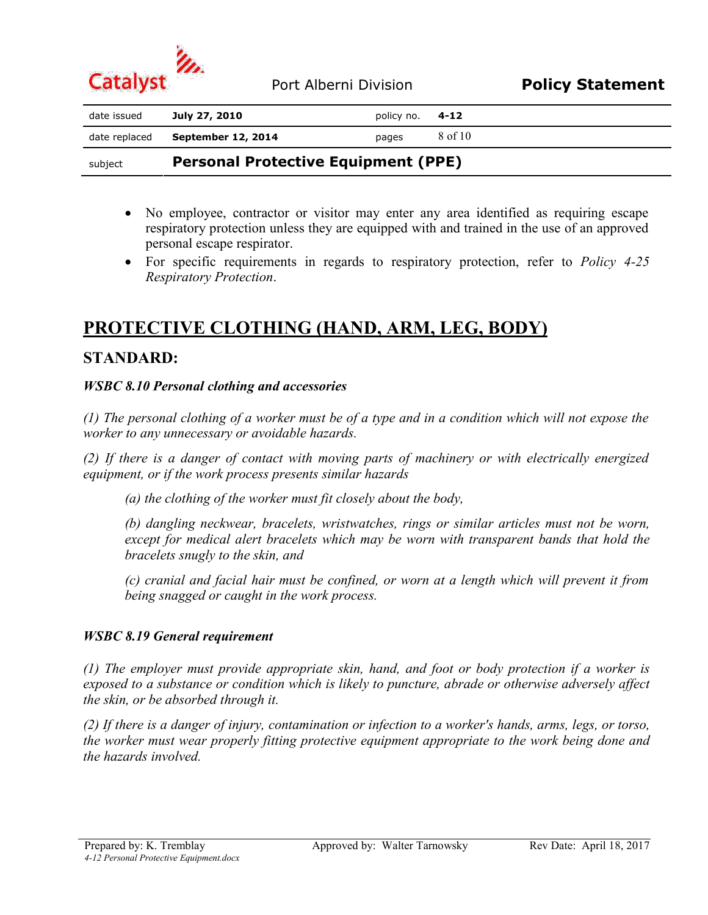

| date issued   | July 27, 2010                              | policy no. | 4-12    |
|---------------|--------------------------------------------|------------|---------|
| date replaced | <b>September 12, 2014</b>                  | pages      | 8 of 10 |
| subject       | <b>Personal Protective Equipment (PPE)</b> |            |         |

- No employee, contractor or visitor may enter any area identified as requiring escape respiratory protection unless they are equipped with and trained in the use of an approved personal escape respirator.
- For specific requirements in regards to respiratory protection, refer to *Policy 4-25 Respiratory Protection*.

# **PROTECTIVE CLOTHING (HAND, ARM, LEG, BODY)**

### **STANDARD:**

#### *WSBC 8.10 Personal clothing and accessories*

*(1) The personal clothing of a worker must be of a type and in a condition which will not expose the worker to any unnecessary or avoidable hazards.*

*(2) If there is a danger of contact with moving parts of machinery or with electrically energized equipment, or if the work process presents similar hazards*

*(a) the clothing of the worker must fit closely about the body,*

*(b) dangling neckwear, bracelets, wristwatches, rings or similar articles must not be worn, except for medical alert bracelets which may be worn with transparent bands that hold the bracelets snugly to the skin, and*

*(c) cranial and facial hair must be confined, or worn at a length which will prevent it from being snagged or caught in the work process.*

#### *WSBC 8.19 General requirement*

*(1) The employer must provide appropriate skin, hand, and foot or body protection if a worker is exposed to a substance or condition which is likely to puncture, abrade or otherwise adversely affect the skin, or be absorbed through it.*

*(2) If there is a danger of injury, contamination or infection to a worker's hands, arms, legs, or torso, the worker must wear properly fitting protective equipment appropriate to the work being done and the hazards involved.*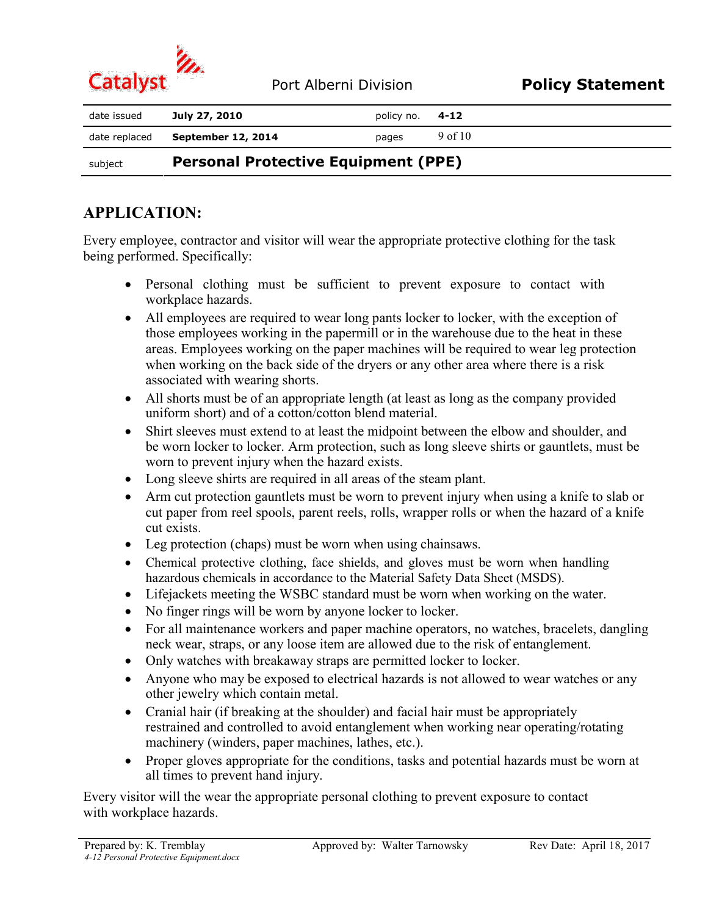

| date issued   | July 27, 2010                              | policy no. | 4-12    |
|---------------|--------------------------------------------|------------|---------|
| date replaced | <b>September 12, 2014</b>                  | pages      | 9 of 10 |
| subject       | <b>Personal Protective Equipment (PPE)</b> |            |         |

### **APPLICATION:**

Every employee, contractor and visitor will wear the appropriate protective clothing for the task being performed. Specifically:

- Personal clothing must be sufficient to prevent exposure to contact with workplace hazards.
- All employees are required to wear long pants locker to locker, with the exception of those employees working in the papermill or in the warehouse due to the heat in these areas. Employees working on the paper machines will be required to wear leg protection when working on the back side of the dryers or any other area where there is a risk associated with wearing shorts.
- All shorts must be of an appropriate length (at least as long as the company provided uniform short) and of a cotton/cotton blend material.
- Shirt sleeves must extend to at least the midpoint between the elbow and shoulder, and be worn locker to locker. Arm protection, such as long sleeve shirts or gauntlets, must be worn to prevent injury when the hazard exists.
- Long sleeve shirts are required in all areas of the steam plant.
- Arm cut protection gauntlets must be worn to prevent injury when using a knife to slab or cut paper from reel spools, parent reels, rolls, wrapper rolls or when the hazard of a knife cut exists.
- Leg protection (chaps) must be worn when using chainsaws.
- Chemical protective clothing, face shields, and gloves must be worn when handling hazardous chemicals in accordance to the Material Safety Data Sheet (MSDS).
- Lifejackets meeting the WSBC standard must be worn when working on the water.
- No finger rings will be worn by anyone locker to locker.
- For all maintenance workers and paper machine operators, no watches, bracelets, dangling neck wear, straps, or any loose item are allowed due to the risk of entanglement.
- Only watches with breakaway straps are permitted locker to locker.
- Anyone who may be exposed to electrical hazards is not allowed to wear watches or any other jewelry which contain metal.
- Cranial hair (if breaking at the shoulder) and facial hair must be appropriately restrained and controlled to avoid entanglement when working near operating/rotating machinery (winders, paper machines, lathes, etc.).
- Proper gloves appropriate for the conditions, tasks and potential hazards must be worn at all times to prevent hand injury.

Every visitor will the wear the appropriate personal clothing to prevent exposure to contact with workplace hazards.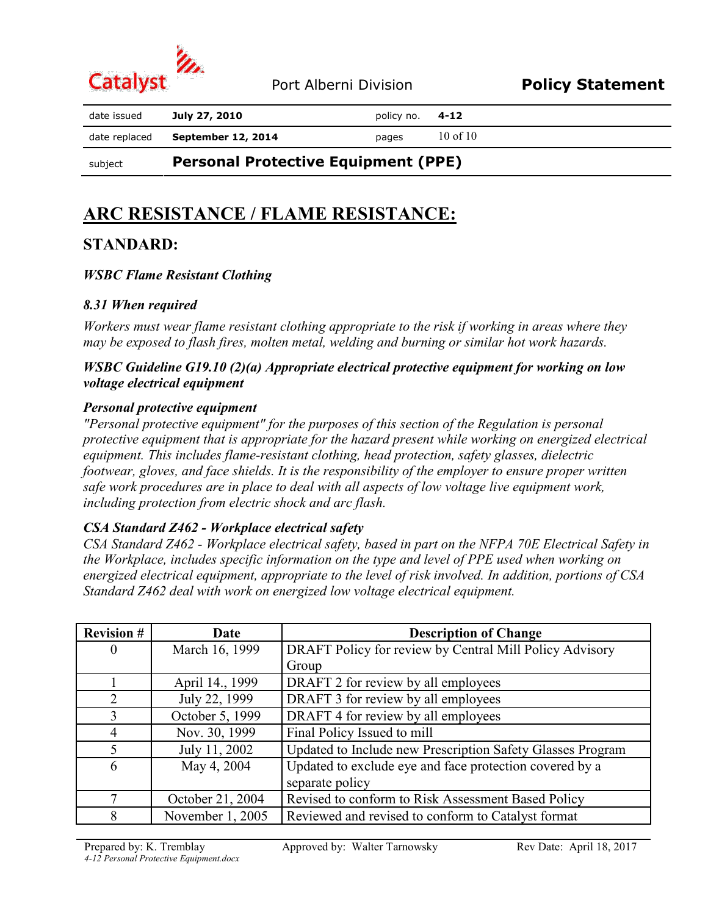

Port Alberni Division **Policy Statement** 

| date issued   | July 27, 2010                              | policy no. | 4-12         |
|---------------|--------------------------------------------|------------|--------------|
| date replaced | <b>September 12, 2014</b>                  | pages      | $10$ of $10$ |
| subject       | <b>Personal Protective Equipment (PPE)</b> |            |              |

# **ARC RESISTANCE / FLAME RESISTANCE:**

## **STANDARD:**

### *WSBC Flame Resistant Clothing*

### *8.31 When required*

*Workers must wear flame resistant clothing appropriate to the risk if working in areas where they may be exposed to flash fires, molten metal, welding and burning or similar hot work hazards.*

#### *WSBC Guideline G19.10 (2)(a) Appropriate electrical protective equipment for working on low voltage electrical equipment*

#### *Personal protective equipment*

*"Personal protective equipment" for the purposes of this section of the Regulation is personal protective equipment that is appropriate for the hazard present while working on energized electrical equipment. This includes flame-resistant clothing, head protection, safety glasses, dielectric footwear, gloves, and face shields. It is the responsibility of the employer to ensure proper written safe work procedures are in place to deal with all aspects of low voltage live equipment work, including protection from electric shock and arc flash.*

### *CSA Standard Z462 - Workplace electrical safety*

*CSA Standard Z462 - Workplace electrical safety, based in part on the NFPA 70E Electrical Safety in the Workplace, includes specific information on the type and level of PPE used when working on energized electrical equipment, appropriate to the level of risk involved. In addition, portions of CSA Standard Z462 deal with work on energized low voltage electrical equipment.*

| <b>Revision #</b>        | Date             | <b>Description of Change</b>                               |
|--------------------------|------------------|------------------------------------------------------------|
| $\overline{0}$           | March 16, 1999   | DRAFT Policy for review by Central Mill Policy Advisory    |
|                          |                  | Group                                                      |
|                          | April 14., 1999  | DRAFT 2 for review by all employees                        |
| 2                        | July 22, 1999    | DRAFT 3 for review by all employees                        |
| $\mathcal{R}$            | October 5, 1999  | DRAFT 4 for review by all employees                        |
| $\overline{4}$           | Nov. 30, 1999    | Final Policy Issued to mill                                |
| $\overline{\mathcal{L}}$ | July 11, 2002    | Updated to Include new Prescription Safety Glasses Program |
| 6                        | May 4, 2004      | Updated to exclude eye and face protection covered by a    |
|                          |                  | separate policy                                            |
| 7                        | October 21, 2004 | Revised to conform to Risk Assessment Based Policy         |
| 8                        | November 1, 2005 | Reviewed and revised to conform to Catalyst format         |